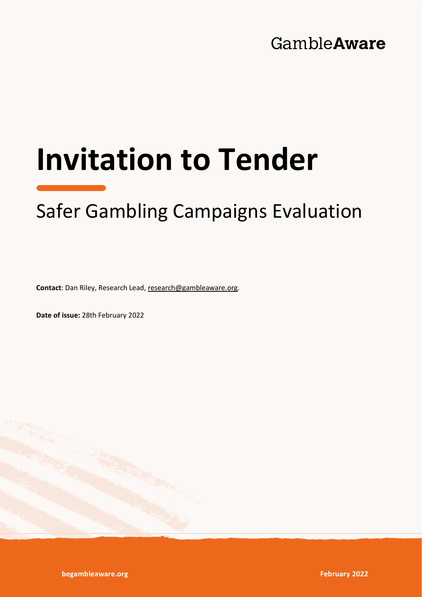# GambleAware

# **Invitation to Tender**

# Safer Gambling Campaigns Evaluation

**Contact**: Dan Riley, Research Lead, [research@gambleaware.org.](mailto:research@gambleaware.org)

**Date of issue:** 28th February 2022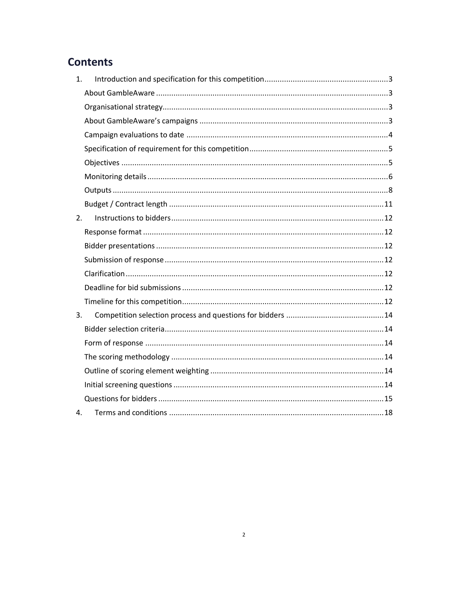### **Contents**

| 1. |  |
|----|--|
|    |  |
|    |  |
|    |  |
|    |  |
|    |  |
|    |  |
|    |  |
|    |  |
|    |  |
| 2. |  |
|    |  |
|    |  |
|    |  |
|    |  |
|    |  |
|    |  |
| 3. |  |
|    |  |
|    |  |
|    |  |
|    |  |
|    |  |
|    |  |
| 4. |  |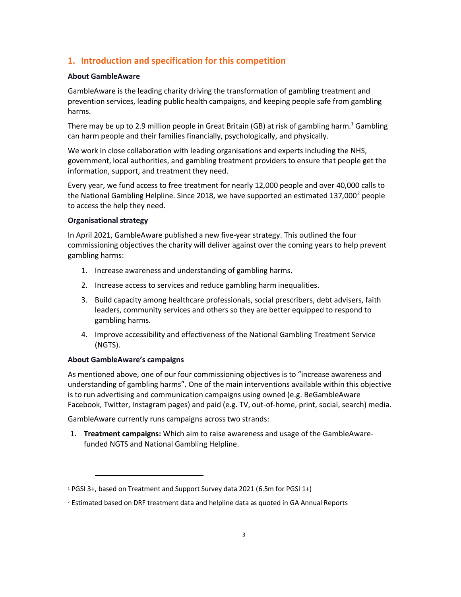#### <span id="page-2-0"></span>**1. Introduction and specification for this competition**

#### <span id="page-2-1"></span>**About GambleAware**

GambleAware is the leading charity driving the transformation of gambling treatment and prevention services, leading public health campaigns, and keeping people safe from gambling harms.

There may be up to 2.9 million people in Great Britain (GB) at risk of gambling harm.<sup>1</sup> Gambling can harm people and their families financially, psychologically, and physically.

We work in close collaboration with leading organisations and experts including the NHS, government, local authorities, and gambling treatment providers to ensure that people get the information, support, and treatment they need.

Every year, we fund access to free treatment for nearly 12,000 people and over 40,000 calls to the National Gambling Helpline. Since 2018, we have supported an estimated 137,000 $^2$  people to access the help they need.

#### <span id="page-2-2"></span>**Organisational strategy**

In April 2021, GambleAware published a [new five-year strategy.](https://www.begambleaware.org/sites/default/files/2021-04/GambleAware_Organisational_Strategy_2021-26.pdf) This outlined the four commissioning objectives the charity will deliver against over the coming years to help prevent gambling harms:

- 1. Increase awareness and understanding of gambling harms.
- 2. Increase access to services and reduce gambling harm inequalities.
- 3. Build capacity among healthcare professionals, social prescribers, debt advisers, faith leaders, community services and others so they are better equipped to respond to gambling harms.
- 4. Improve accessibility and effectiveness of the National Gambling Treatment Service (NGTS).

#### <span id="page-2-3"></span>**About GambleAware's campaigns**

As mentioned above, one of our four commissioning objectives is to "increase awareness and understanding of gambling harms". One of the main interventions available within this objective is to run advertising and communication campaigns using owned (e.g. BeGambleAware Facebook, Twitter, Instagram pages) and paid (e.g. TV, out-of-home, print, social, search) media.

GambleAware currently runs campaigns across two strands:

1. **Treatment campaigns:** Which aim to raise awareness and usage of the GambleAwarefunded NGTS and National Gambling Helpline.

<sup>&</sup>lt;sup>1</sup> PGSI 3+, based on Treatment and Support Survey data 2021 (6.5m for PGSI 1+)

<sup>2</sup> Estimated based on DRF treatment data and helpline data as quoted in GA Annual Reports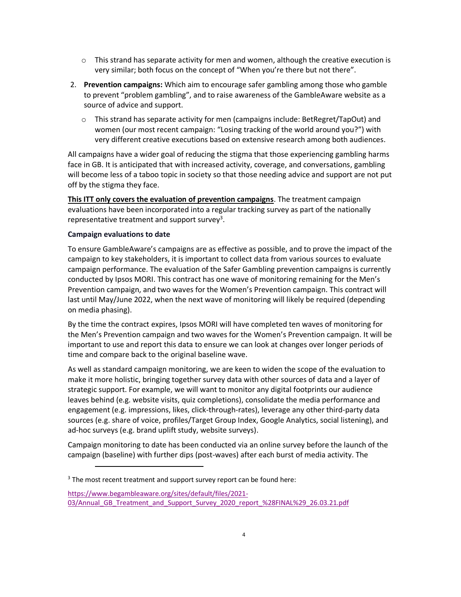- $\circ$  This strand has separate activity for men and women, although the creative execution is very similar; both focus on the concept of "When you're there but not there".
- 2. **Prevention campaigns:** Which aim to encourage safer gambling among those who gamble to prevent "problem gambling", and to raise awareness of the GambleAware website as a source of advice and support.
	- $\circ$  This strand has separate activity for men (campaigns include: BetRegret/TapOut) and women (our most recent campaign: "Losing tracking of the world around you?") with very different creative executions based on extensive research among both audiences.

All campaigns have a wider goal of reducing the stigma that those experiencing gambling harms face in GB. It is anticipated that with increased activity, coverage, and conversations, gambling will become less of a taboo topic in society so that those needing advice and support are not put off by the stigma they face.

**This ITT only covers the evaluation of prevention campaigns**. The treatment campaign evaluations have been incorporated into a regular tracking survey as part of the nationally representative treatment and support survey<sup>3</sup>.

#### <span id="page-3-0"></span>**Campaign evaluations to date**

To ensure GambleAware's campaigns are as effective as possible, and to prove the impact of the campaign to key stakeholders, it is important to collect data from various sources to evaluate campaign performance. The evaluation of the Safer Gambling prevention campaigns is currently conducted by Ipsos MORI. This contract has one wave of monitoring remaining for the Men's Prevention campaign, and two waves for the Women's Prevention campaign. This contract will last until May/June 2022, when the next wave of monitoring will likely be required (depending on media phasing).

By the time the contract expires, Ipsos MORI will have completed ten waves of monitoring for the Men's Prevention campaign and two waves for the Women's Prevention campaign. It will be important to use and report this data to ensure we can look at changes over longer periods of time and compare back to the original baseline wave.

As well as standard campaign monitoring, we are keen to widen the scope of the evaluation to make it more holistic, bringing together survey data with other sources of data and a layer of strategic support. For example, we will want to monitor any digital footprints our audience leaves behind (e.g. website visits, quiz completions), consolidate the media performance and engagement (e.g. impressions, likes, click-through-rates), leverage any other third-party data sources (e.g. share of voice, profiles/Target Group Index, Google Analytics, social listening), and ad-hoc surveys (e.g. brand uplift study, website surveys).

Campaign monitoring to date has been conducted via an online survey before the launch of the campaign (baseline) with further dips (post-waves) after each burst of media activity. The

<sup>&</sup>lt;sup>3</sup> The most recent treatment and support survey report can be found here:

[https://www.begambleaware.org/sites/default/files/2021-](https://www.begambleaware.org/sites/default/files/2021-03/Annual_GB_Treatment_and_Support_Survey_2020_report_%28FINAL%29_26.03.21.pdf) 03/Annual GB Treatment and Support Survey 2020 report %28FINAL%29 26.03.21.pdf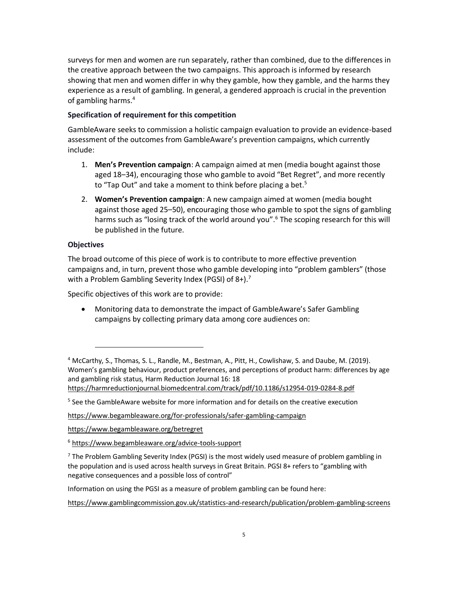surveys for men and women are run separately, rather than combined, due to the differences in the creative approach between the two campaigns. This approach is informed by research showing that men and women differ in why they gamble, how they gamble, and the harms they experience as a result of gambling. In general, a gendered approach is crucial in the prevention of gambling harms.<sup>4</sup>

#### <span id="page-4-0"></span>**Specification of requirement for this competition**

GambleAware seeks to commission a holistic campaign evaluation to provide an evidence-based assessment of the outcomes from GambleAware's prevention campaigns, which currently include:

- 1. **Men's Prevention campaign**: A campaign aimed at men (media bought against those aged 18–34), encouraging those who gamble to avoid "Bet Regret", and more recently to "Tap Out" and take a moment to think before placing a bet.<sup>5</sup>
- 2. **Women's Prevention campaign**: A new campaign aimed at women (media bought against those aged 25–50), encouraging those who gamble to spot the signs of gambling harms such as "losing track of the world around you".<sup>6</sup> The scoping research for this will be published in the future.

#### <span id="page-4-1"></span>**Objectives**

The broad outcome of this piece of work is to contribute to more effective prevention campaigns and, in turn, prevent those who gamble developing into "problem gamblers" (those with a Problem Gambling Severity Index (PGSI) of  $8+$ ).<sup>7</sup>

Specific objectives of this work are to provide:

• Monitoring data to demonstrate the impact of GambleAware's Safer Gambling campaigns by collecting primary data among core audiences on:

<https://www.begambleaware.org/for-professionals/safer-gambling-campaign>

<https://www.begambleaware.org/betregret>

<sup>6</sup> <https://www.begambleaware.org/advice-tools-support>

 $7$  The Problem Gambling Severity Index (PGSI) is the most widely used measure of problem gambling in the population and is used across health surveys in Great Britain. PGSI 8+ refers to "gambling with negative consequences and a possible loss of control"

Information on using the PGSI as a measure of problem gambling can be found here:

<https://www.gamblingcommission.gov.uk/statistics-and-research/publication/problem-gambling-screens>

<sup>4</sup> McCarthy, S., Thomas, S. L., Randle, M., Bestman, A., Pitt, H., Cowlishaw, S. and Daube, M. (2019). Women's gambling behaviour, product preferences, and perceptions of product harm: differences by age and gambling risk status, Harm Reduction Journal 16: 18 <https://harmreductionjournal.biomedcentral.com/track/pdf/10.1186/s12954-019-0284-8.pdf>

<sup>&</sup>lt;sup>5</sup> See the GambleAware website for more information and for details on the creative execution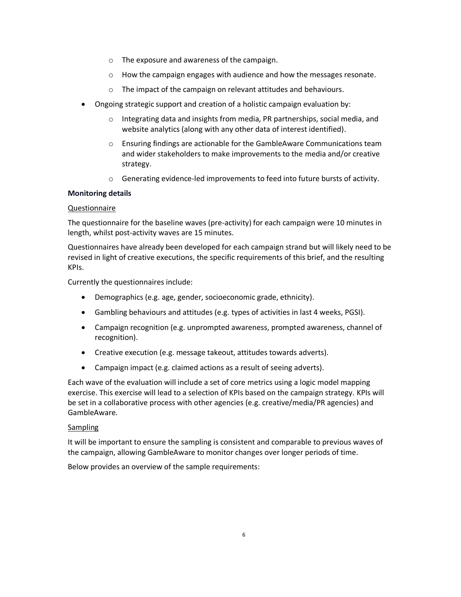- o The exposure and awareness of the campaign.
- o How the campaign engages with audience and how the messages resonate.
- o The impact of the campaign on relevant attitudes and behaviours.
- Ongoing strategic support and creation of a holistic campaign evaluation by:
	- o Integrating data and insights from media, PR partnerships, social media, and website analytics (along with any other data of interest identified).
	- o Ensuring findings are actionable for the GambleAware Communications team and wider stakeholders to make improvements to the media and/or creative strategy.
	- $\circ$  Generating evidence-led improvements to feed into future bursts of activity.

#### <span id="page-5-0"></span>**Monitoring details**

#### Questionnaire

The questionnaire for the baseline waves (pre-activity) for each campaign were 10 minutes in length, whilst post-activity waves are 15 minutes.

Questionnaires have already been developed for each campaign strand but will likely need to be revised in light of creative executions, the specific requirements of this brief, and the resulting KPIs.

Currently the questionnaires include:

- Demographics (e.g. age, gender, socioeconomic grade, ethnicity).
- Gambling behaviours and attitudes (e.g. types of activities in last 4 weeks, PGSI).
- Campaign recognition (e.g. unprompted awareness, prompted awareness, channel of recognition).
- Creative execution (e.g. message takeout, attitudes towards adverts).
- Campaign impact (e.g. claimed actions as a result of seeing adverts).

Each wave of the evaluation will include a set of core metrics using a logic model mapping exercise. This exercise will lead to a selection of KPIs based on the campaign strategy. KPIs will be set in a collaborative process with other agencies (e.g. creative/media/PR agencies) and GambleAware.

#### **Sampling**

It will be important to ensure the sampling is consistent and comparable to previous waves of the campaign, allowing GambleAware to monitor changes over longer periods of time.

Below provides an overview of the sample requirements: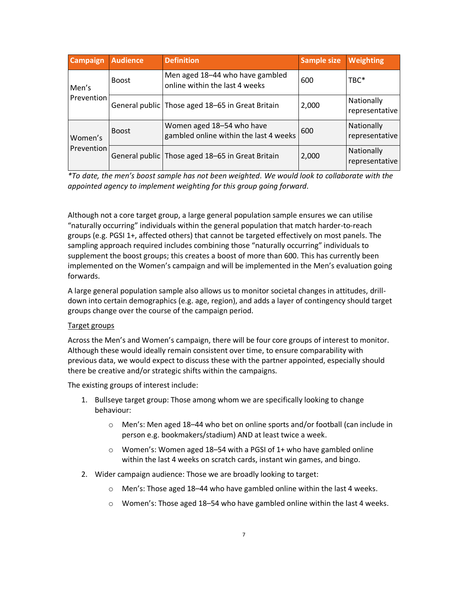| <b>Campaign</b><br><b>Audience</b> |              | <b>Definition</b>                                                   | <b>Sample size</b> | <b>Weighting</b>             |
|------------------------------------|--------------|---------------------------------------------------------------------|--------------------|------------------------------|
| Men's                              | <b>Boost</b> | Men aged 18-44 who have gambled<br>online within the last 4 weeks   | 600                | TBC*                         |
| Prevention                         |              | General public Those aged 18-65 in Great Britain                    | 2,000              | Nationally<br>representative |
| Women's                            | <b>Boost</b> | Women aged 18-54 who have<br>gambled online within the last 4 weeks | 600                | Nationally<br>representative |
| Prevention                         |              | General public Those aged 18-65 in Great Britain                    | 2,000              | Nationally<br>representative |

*\*To date, the men's boost sample has not been weighted. We would look to collaborate with the appointed agency to implement weighting for this group going forward.*

Although not a core target group, a large general population sample ensures we can utilise "naturally occurring" individuals within the general population that match harder-to-reach groups (e.g. PGSI 1+, affected others) that cannot be targeted effectively on most panels. The sampling approach required includes combining those "naturally occurring" individuals to supplement the boost groups; this creates a boost of more than 600. This has currently been implemented on the Women's campaign and will be implemented in the Men's evaluation going forwards.

A large general population sample also allows us to monitor societal changes in attitudes, drilldown into certain demographics (e.g. age, region), and adds a layer of contingency should target groups change over the course of the campaign period.

#### Target groups

Across the Men's and Women's campaign, there will be four core groups of interest to monitor. Although these would ideally remain consistent over time, to ensure comparability with previous data, we would expect to discuss these with the partner appointed, especially should there be creative and/or strategic shifts within the campaigns.

The existing groups of interest include:

- 1. Bullseye target group: Those among whom we are specifically looking to change behaviour:
	- o Men's: Men aged 18–44 who bet on online sports and/or football (can include in person e.g. bookmakers/stadium) AND at least twice a week.
	- $\circ$  Women's: Women aged 18–54 with a PGSI of 1+ who have gambled online within the last 4 weeks on scratch cards, instant win games, and bingo.
- 2. Wider campaign audience: Those we are broadly looking to target:
	- o Men's: Those aged 18–44 who have gambled online within the last 4 weeks.
	- $\circ$  Women's: Those aged 18–54 who have gambled online within the last 4 weeks.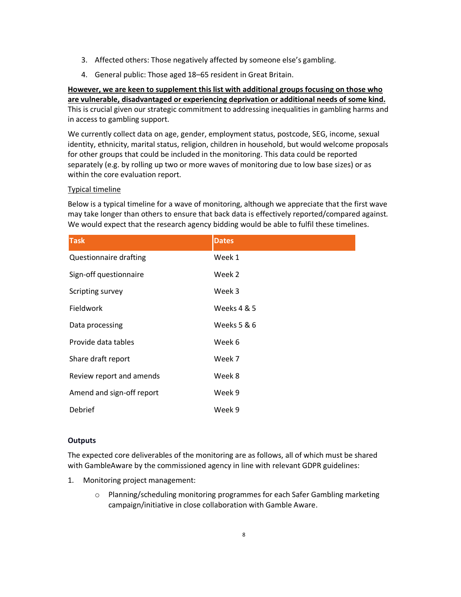- 3. Affected others: Those negatively affected by someone else's gambling.
- 4. General public: Those aged 18–65 resident in Great Britain.

**However, we are keen to supplement this list with additional groups focusing on those who are vulnerable, disadvantaged or experiencing deprivation or additional needs of some kind.** This is crucial given our strategic commitment to addressing inequalities in gambling harms and in access to gambling support.

We currently collect data on age, gender, employment status, postcode, SEG, income, sexual identity, ethnicity, marital status, religion, children in household, but would welcome proposals for other groups that could be included in the monitoring. This data could be reported separately (e.g. by rolling up two or more waves of monitoring due to low base sizes) or as within the core evaluation report.

#### Typical timeline

Below is a typical timeline for a wave of monitoring, although we appreciate that the first wave may take longer than others to ensure that back data is effectively reported/compared against. We would expect that the research agency bidding would be able to fulfil these timelines.

| <b>Task</b>               | <b>Dates</b> |
|---------------------------|--------------|
| Questionnaire drafting    | Week 1       |
| Sign-off questionnaire    | Week 2       |
| Scripting survey          | Week 3       |
| <b>Fieldwork</b>          | Weeks 4 & 5  |
| Data processing           | Weeks 5 & 6  |
| Provide data tables       | Week 6       |
| Share draft report        | Week 7       |
| Review report and amends  | Week 8       |
| Amend and sign-off report | Week 9       |
| Debrief                   | Week 9       |

#### <span id="page-7-0"></span>**Outputs**

The expected core deliverables of the monitoring are as follows, all of which must be shared with GambleAware by the commissioned agency in line with relevant GDPR guidelines:

- 1. Monitoring project management:
	- o Planning/scheduling monitoring programmes for each Safer Gambling marketing campaign/initiative in close collaboration with Gamble Aware.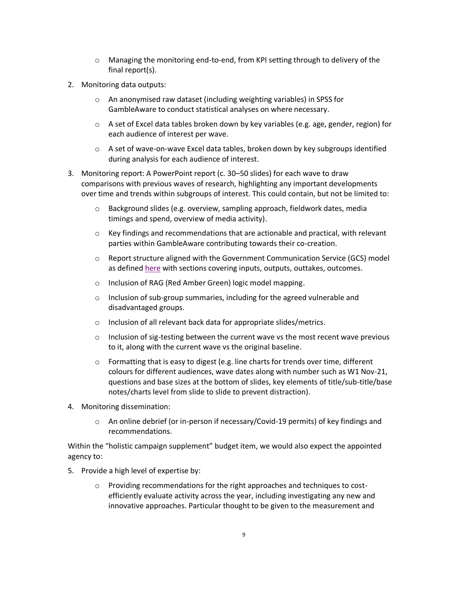- $\circ$  Managing the monitoring end-to-end, from KPI setting through to delivery of the final report(s).
- 2. Monitoring data outputs:
	- o An anonymised raw dataset (including weighting variables) in SPSS for GambleAware to conduct statistical analyses on where necessary.
	- $\circ$  A set of Excel data tables broken down by key variables (e.g. age, gender, region) for each audience of interest per wave.
	- $\circ$  A set of wave-on-wave Excel data tables, broken down by key subgroups identified during analysis for each audience of interest.
- 3. Monitoring report: A PowerPoint report (c. 30–50 slides) for each wave to draw comparisons with previous waves of research, highlighting any important developments over time and trends within subgroups of interest. This could contain, but not be limited to:
	- o Background slides (e.g. overview, sampling approach, fieldwork dates, media timings and spend, overview of media activity).
	- $\circ$  Key findings and recommendations that are actionable and practical, with relevant parties within GambleAware contributing towards their co-creation.
	- $\circ$  Report structure aligned with the Government Communication Service (GCS) model as define[d here](https://3x7ip91ron4ju9ehf2unqrm1-wpengine.netdna-ssl.com/wp-content/uploads/2020/03/Evaluation-Framework-2.0.pdf) with sections covering inputs, outputs, outtakes, outcomes.
	- o Inclusion of RAG (Red Amber Green) logic model mapping.
	- o Inclusion of sub-group summaries, including for the agreed vulnerable and disadvantaged groups.
	- o Inclusion of all relevant back data for appropriate slides/metrics.
	- $\circ$  Inclusion of sig-testing between the current wave vs the most recent wave previous to it, along with the current wave vs the original baseline.
	- $\circ$  Formatting that is easy to digest (e.g. line charts for trends over time, different colours for different audiences, wave dates along with number such as W1 Nov-21, questions and base sizes at the bottom of slides, key elements of title/sub-title/base notes/charts level from slide to slide to prevent distraction).
- 4. Monitoring dissemination:
	- $\circ$  An online debrief (or in-person if necessary/Covid-19 permits) of key findings and recommendations.

Within the "holistic campaign supplement" budget item, we would also expect the appointed agency to:

- 5. Provide a high level of expertise by:
	- $\circ$  Providing recommendations for the right approaches and techniques to costefficiently evaluate activity across the year, including investigating any new and innovative approaches. Particular thought to be given to the measurement and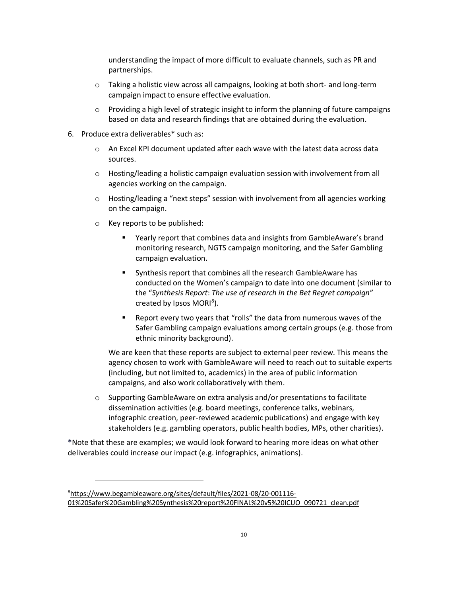understanding the impact of more difficult to evaluate channels, such as PR and partnerships.

- $\circ$  Taking a holistic view across all campaigns, looking at both short- and long-term campaign impact to ensure effective evaluation.
- $\circ$  Providing a high level of strategic insight to inform the planning of future campaigns based on data and research findings that are obtained during the evaluation.
- 6. Produce extra deliverables\* such as:
	- o An Excel KPI document updated after each wave with the latest data across data sources.
	- $\circ$  Hosting/leading a holistic campaign evaluation session with involvement from all agencies working on the campaign.
	- $\circ$  Hosting/leading a "next steps" session with involvement from all agencies working on the campaign.
	- o Key reports to be published:
		- Yearly report that combines data and insights from GambleAware's brand monitoring research, NGTS campaign monitoring, and the Safer Gambling campaign evaluation.
		- Synthesis report that combines all the research GambleAware has conducted on the Women's campaign to date into one document (similar to the "*Synthesis Report*: *The use of research in the Bet Regret campaign*" created by Ipsos MORI<sup>8</sup>).
		- Report every two years that "rolls" the data from numerous waves of the Safer Gambling campaign evaluations among certain groups (e.g. those from ethnic minority background).

We are keen that these reports are subject to external peer review. This means the agency chosen to work with GambleAware will need to reach out to suitable experts (including, but not limited to, academics) in the area of public information campaigns, and also work collaboratively with them.

 $\circ$  Supporting GambleAware on extra analysis and/or presentations to facilitate dissemination activities (e.g. board meetings, conference talks, webinars, infographic creation, peer-reviewed academic publications) and engage with key stakeholders (e.g. gambling operators, public health bodies, MPs, other charities).

**\***Note that these are examples; we would look forward to hearing more ideas on what other deliverables could increase our impact (e.g. infographics, animations).

<sup>8</sup>[https://www.begambleaware.org/sites/default/files/2021-08/20-001116-](https://www.begambleaware.org/sites/default/files/2021-08/20-001116-01%20Safer%20Gambling%20Synthesis%20report%20FINAL%20v5%20ICUO_090721_clean.pdf) [01%20Safer%20Gambling%20Synthesis%20report%20FINAL%20v5%20ICUO\\_090721\\_clean.pdf](https://www.begambleaware.org/sites/default/files/2021-08/20-001116-01%20Safer%20Gambling%20Synthesis%20report%20FINAL%20v5%20ICUO_090721_clean.pdf)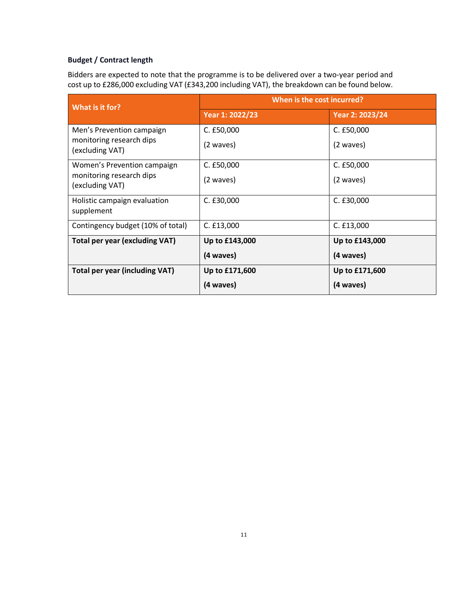#### <span id="page-10-0"></span>**Budget / Contract length**

Bidders are expected to note that the programme is to be delivered over a two-year period and cost up to £286,000 excluding VAT (£343,200 including VAT), the breakdown can be found below.

| What is it for?                             | When is the cost incurred? |                 |  |
|---------------------------------------------|----------------------------|-----------------|--|
|                                             | Year 1: 2022/23            | Year 2: 2023/24 |  |
| Men's Prevention campaign                   | $C.$ £50,000               | C. E50,000      |  |
| monitoring research dips<br>(excluding VAT) | (2 waves)                  | (2 waves)       |  |
| Women's Prevention campaign                 | C. E50,000                 | C. E50,000      |  |
| monitoring research dips<br>(excluding VAT) | (2 waves)                  | (2 waves)       |  |
| Holistic campaign evaluation<br>supplement  | C. £30,000                 | C. £30,000      |  |
| Contingency budget (10% of total)           | C. E13,000                 | C. E13,000      |  |
| Total per year (excluding VAT)              | Up to £143,000             | Up to £143,000  |  |
|                                             | (4 waves)                  | (4 waves)       |  |
| <b>Total per year (including VAT)</b>       | Up to £171,600             | Up to £171,600  |  |
|                                             | (4 waves)                  | (4 waves)       |  |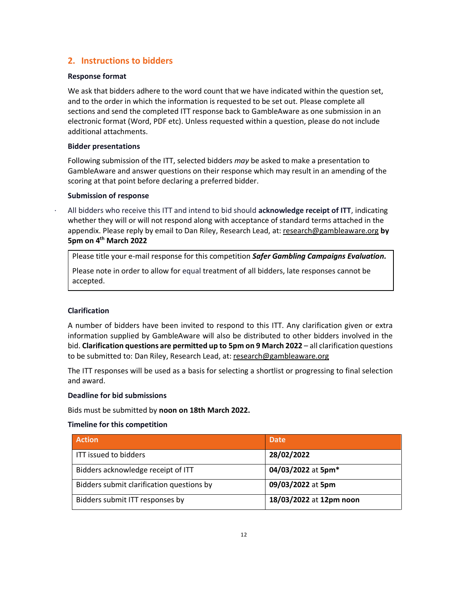#### <span id="page-11-0"></span>**2. Instructions to bidders**

#### <span id="page-11-1"></span>**Response format**

We ask that bidders adhere to the word count that we have indicated within the question set, and to the order in which the information is requested to be set out. Please complete all sections and send the completed ITT response back to GambleAware as one submission in an electronic format (Word, PDF etc). Unless requested within a question, please do not include additional attachments.

#### <span id="page-11-2"></span>**Bidder presentations**

Following submission of the ITT, selected bidders *may* be asked to make a presentation to GambleAware and answer questions on their response which may result in an amending of the scoring at that point before declaring a preferred bidder.

#### <span id="page-11-3"></span>**Submission of response**

· All bidders who receive this ITT and intend to bid should **acknowledge receipt of ITT**, indicating whether they will or will not respond along with acceptance of standard terms attached in the appendix. Please reply by email to Dan Riley, Research Lead, at: [research@gambleaware.org](mailto:research@gambleaware.org) **by 5pm on 4 th March 2022**

Please title your e-mail response for this competition *Safer Gambling Campaigns Evaluation.*

Please note in order to allow for equal treatment of all bidders, late responses cannot be accepted.

#### <span id="page-11-4"></span>**Clarification**

A number of bidders have been invited to respond to this ITT. Any clarification given or extra information supplied by GambleAware will also be distributed to other bidders involved in the bid. **Clarification questions are permitted up to 5pm on 9 March 2022** – all clarification questions to be submitted to: Dan Riley, Research Lead, at: [research@gambleaware.org](mailto:research@gambleaware.org)

The ITT responses will be used as a basis for selecting a shortlist or progressing to final selection and award.

#### <span id="page-11-5"></span>**Deadline for bid submissions**

Bids must be submitted by **noon on 18th March 2022.** 

#### <span id="page-11-6"></span>**Timeline for this competition**

| <b>Action</b>                             | <b>Date</b>             |
|-------------------------------------------|-------------------------|
| <b>ITT issued to bidders</b>              | 28/02/2022              |
| Bidders acknowledge receipt of ITT        | 04/03/2022 at 5pm*      |
| Bidders submit clarification questions by | 09/03/2022 at 5pm       |
| Bidders submit ITT responses by           | 18/03/2022 at 12pm noon |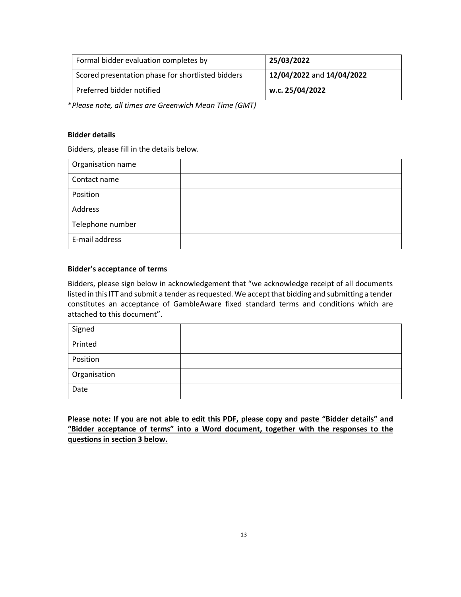| Formal bidder evaluation completes by             | 25/03/2022                |
|---------------------------------------------------|---------------------------|
| Scored presentation phase for shortlisted bidders | 12/04/2022 and 14/04/2022 |
| Preferred bidder notified                         | w.c. 25/04/2022           |

\**Please note, all times are Greenwich Mean Time (GMT)*

#### **Bidder details**

Bidders, please fill in the details below.

| Organisation name |  |
|-------------------|--|
| Contact name      |  |
| Position          |  |
| Address           |  |
| Telephone number  |  |
| E-mail address    |  |

#### **Bidder's acceptance of terms**

Bidders, please sign below in acknowledgement that "we acknowledge receipt of all documents listed in this ITT and submit a tender as requested. We accept that bidding and submitting a tender constitutes an acceptance of GambleAware fixed standard terms and conditions which are attached to this document".

| Signed       |  |
|--------------|--|
| Printed      |  |
| Position     |  |
| Organisation |  |
| Date         |  |

**Please note: If you are not able to edit this PDF, please copy and paste "Bidder details" and "Bidder acceptance of terms" into a Word document, together with the responses to the questions in section 3 below.**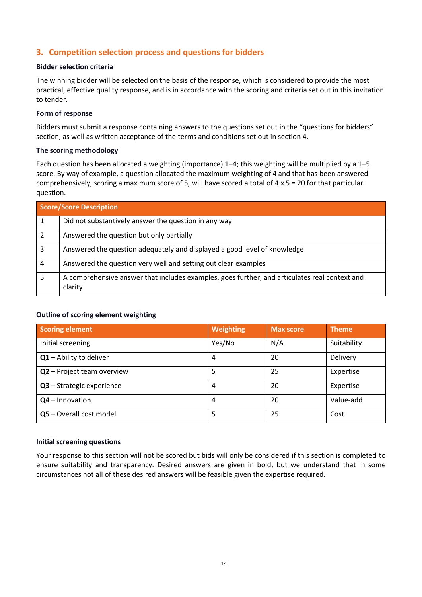#### <span id="page-13-1"></span><span id="page-13-0"></span>**3. Competition selection process and questions for bidders**

#### **Bidder selection criteria**

<span id="page-13-2"></span>The winning bidder will be selected on the basis of the response, which is considered to provide the most practical, effective quality response, and is in accordance with the scoring and criteria set out in this invitation to tender.

#### <span id="page-13-3"></span>**Form of response**

Bidders must submit a response containing answers to the questions set out in the "questions for bidders" section, as well as written acceptance of the terms and conditions set out in section 4.

#### **The scoring methodology**

Each question has been allocated a weighting (importance) 1–4; this weighting will be multiplied by a 1–5 score. By way of example, a question allocated the maximum weighting of 4 and that has been answered comprehensively, scoring a maximum score of 5, will have scored a total of 4  $\times$  5 = 20 for that particular question.

|                | <b>Score/Score Description</b>                                                                           |  |  |  |
|----------------|----------------------------------------------------------------------------------------------------------|--|--|--|
|                | Did not substantively answer the question in any way                                                     |  |  |  |
| $\overline{2}$ | Answered the question but only partially                                                                 |  |  |  |
| 3              | Answered the question adequately and displayed a good level of knowledge                                 |  |  |  |
| 4              | Answered the question very well and setting out clear examples                                           |  |  |  |
| 5              | A comprehensive answer that includes examples, goes further, and articulates real context and<br>clarity |  |  |  |

#### <span id="page-13-4"></span>**Outline of scoring element weighting**

| <b>Scoring element</b>     | Weighting | <b>Max score</b> | <b>Theme</b> |
|----------------------------|-----------|------------------|--------------|
| Initial screening          | Yes/No    | N/A              | Suitability  |
| Q1 - Ability to deliver    | 4         | 20               | Delivery     |
| Q2 - Project team overview | 5         | 25               | Expertise    |
| Q3 - Strategic experience  | 4         | 20               | Expertise    |
| $Q4$ – Innovation          | 4         | 20               | Value-add    |
| Q5 - Overall cost model    | 5         | 25               | Cost         |

#### <span id="page-13-5"></span>**Initial screening questions**

Your response to this section will not be scored but bids will only be considered if this section is completed to ensure suitability and transparency. Desired answers are given in bold, but we understand that in some circumstances not all of these desired answers will be feasible given the expertise required.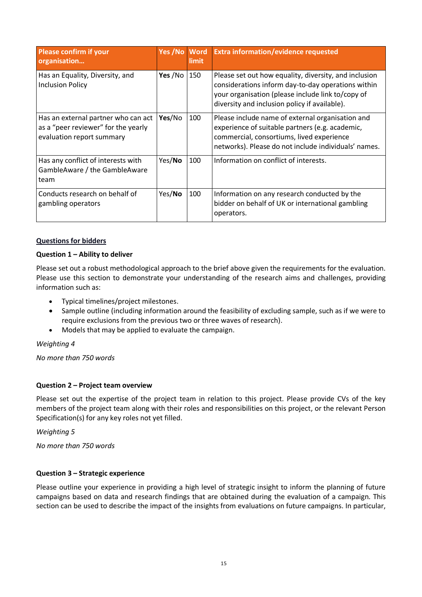| <b>Please confirm if your</b><br>organisation                                                           | Yes /No | <b>Word</b><br>limit | <b>Extra information/evidence requested</b>                                                                                                                                                                       |
|---------------------------------------------------------------------------------------------------------|---------|----------------------|-------------------------------------------------------------------------------------------------------------------------------------------------------------------------------------------------------------------|
| Has an Equality, Diversity, and<br><b>Inclusion Policy</b>                                              | Yes /No | 150                  | Please set out how equality, diversity, and inclusion<br>considerations inform day-to-day operations within<br>your organisation (please include link to/copy of<br>diversity and inclusion policy if available). |
| Has an external partner who can act<br>as a "peer reviewer" for the yearly<br>evaluation report summary | Yes/No  | 100                  | Please include name of external organisation and<br>experience of suitable partners (e.g. academic,<br>commercial, consortiums, lived experience<br>networks). Please do not include individuals' names.          |
| Has any conflict of interests with<br>GambleAware / the GambleAware<br>team                             | Yes/No  | 100                  | Information on conflict of interests.                                                                                                                                                                             |
| Conducts research on behalf of<br>gambling operators                                                    | Yes/No  | 100                  | Information on any research conducted by the<br>bidder on behalf of UK or international gambling<br>operators.                                                                                                    |

#### <span id="page-14-0"></span>**Questions for bidders**

#### **Question 1 – Ability to deliver**

Please set out a robust methodological approach to the brief above given the requirements for the evaluation. Please use this section to demonstrate your understanding of the research aims and challenges, providing information such as:

- Typical timelines/project milestones.
- Sample outline (including information around the feasibility of excluding sample, such as if we were to require exclusions from the previous two or three waves of research).
- Models that may be applied to evaluate the campaign.

#### *Weighting 4*

*No more than 750 words*

#### **Question 2 – Project team overview**

Please set out the expertise of the project team in relation to this project. Please provide CVs of the key members of the project team along with their roles and responsibilities on this project, or the relevant Person Specification(s) for any key roles not yet filled.

*Weighting 5*

*No more than 750 words*

#### **Question 3 – Strategic experience**

Please outline your experience in providing a high level of strategic insight to inform the planning of future campaigns based on data and research findings that are obtained during the evaluation of a campaign. This section can be used to describe the impact of the insights from evaluations on future campaigns. In particular,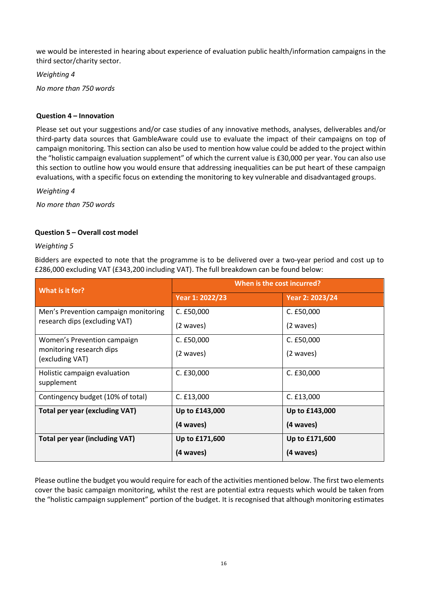we would be interested in hearing about experience of evaluation public health/information campaigns in the third sector/charity sector.

*Weighting 4*

*No more than 750 words*

#### **Question 4 – Innovation**

Please set out your suggestions and/or case studies of any innovative methods, analyses, deliverables and/or third-party data sources that GambleAware could use to evaluate the impact of their campaigns on top of campaign monitoring. This section can also be used to mention how value could be added to the project within the "holistic campaign evaluation supplement" of which the current value is £30,000 per year. You can also use this section to outline how you would ensure that addressing inequalities can be put heart of these campaign evaluations, with a specific focus on extending the monitoring to key vulnerable and disadvantaged groups.

*Weighting 4*

*No more than 750 words*

#### **Question 5 – Overall cost model**

#### *Weighting 5*

Bidders are expected to note that the programme is to be delivered over a two-year period and cost up to £286,000 excluding VAT (£343,200 including VAT). The full breakdown can be found below:

| What is it for?                             | When is the cost incurred? |                 |  |
|---------------------------------------------|----------------------------|-----------------|--|
|                                             | Year 1: 2022/23            | Year 2: 2023/24 |  |
| Men's Prevention campaign monitoring        | C. £50,000                 | C. £50,000      |  |
| research dips (excluding VAT)               | (2 waves)                  | (2 waves)       |  |
| Women's Prevention campaign                 | $C.$ £50,000               | C. £50,000      |  |
| monitoring research dips<br>(excluding VAT) | (2 waves)                  | (2 waves)       |  |
| Holistic campaign evaluation<br>supplement  | C. £30,000                 | C. E30,000      |  |
| Contingency budget (10% of total)           | C. E13,000                 | C. E13,000      |  |
| <b>Total per year (excluding VAT)</b>       | Up to £143,000             | Up to £143,000  |  |
|                                             | (4 waves)                  | (4 waves)       |  |
| <b>Total per year (including VAT)</b>       | Up to £171,600             | Up to £171,600  |  |
|                                             | (4 waves)                  | (4 waves)       |  |

Please outline the budget you would require for each of the activities mentioned below. The first two elements cover the basic campaign monitoring, whilst the rest are potential extra requests which would be taken from the "holistic campaign supplement" portion of the budget. It is recognised that although monitoring estimates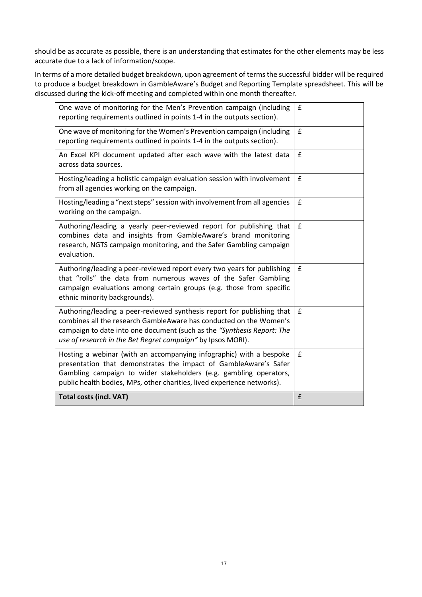should be as accurate as possible, there is an understanding that estimates for the other elements may be less accurate due to a lack of information/scope.

In terms of a more detailed budget breakdown, upon agreement of terms the successful bidder will be required to produce a budget breakdown in GambleAware's Budget and Reporting Template spreadsheet. This will be discussed during the kick-off meeting and completed within one month thereafter.

| One wave of monitoring for the Men's Prevention campaign (including<br>reporting requirements outlined in points 1-4 in the outputs section).                                                                                                                                           | £                  |
|-----------------------------------------------------------------------------------------------------------------------------------------------------------------------------------------------------------------------------------------------------------------------------------------|--------------------|
| One wave of monitoring for the Women's Prevention campaign (including<br>reporting requirements outlined in points 1-4 in the outputs section).                                                                                                                                         | £                  |
| An Excel KPI document updated after each wave with the latest data<br>across data sources.                                                                                                                                                                                              | £                  |
| Hosting/leading a holistic campaign evaluation session with involvement<br>from all agencies working on the campaign.                                                                                                                                                                   | $\mathbf f$        |
| Hosting/leading a "next steps" session with involvement from all agencies<br>working on the campaign.                                                                                                                                                                                   | £                  |
| Authoring/leading a yearly peer-reviewed report for publishing that<br>combines data and insights from GambleAware's brand monitoring<br>research, NGTS campaign monitoring, and the Safer Gambling campaign<br>evaluation.                                                             | f                  |
| Authoring/leading a peer-reviewed report every two years for publishing<br>that "rolls" the data from numerous waves of the Safer Gambling<br>campaign evaluations among certain groups (e.g. those from specific<br>ethnic minority backgrounds).                                      | £                  |
| Authoring/leading a peer-reviewed synthesis report for publishing that<br>combines all the research GambleAware has conducted on the Women's<br>campaign to date into one document (such as the "Synthesis Report: The<br>use of research in the Bet Regret campaign" by Ipsos MORI).   | $\pmb{\mathsf{f}}$ |
| Hosting a webinar (with an accompanying infographic) with a bespoke<br>presentation that demonstrates the impact of GambleAware's Safer<br>Gambling campaign to wider stakeholders (e.g. gambling operators,<br>public health bodies, MPs, other charities, lived experience networks). | £                  |
| <b>Total costs (incl. VAT)</b>                                                                                                                                                                                                                                                          | £                  |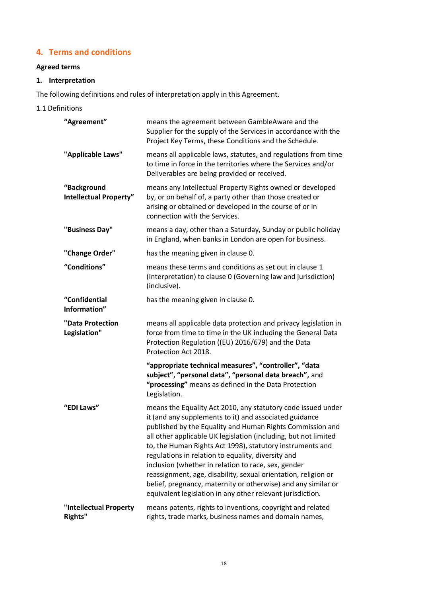#### <span id="page-17-0"></span>**4. Terms and conditions**

#### **Agreed terms**

#### <span id="page-17-1"></span>**1. Interpretation**

The following definitions and rules of interpretation apply in this Agreement.

1.1 Definitions

| "Agreement"                           | means the agreement between GambleAware and the<br>Supplier for the supply of the Services in accordance with the<br>Project Key Terms, these Conditions and the Schedule.                                                                                                                                                                                                                                                                                                                                                                                                                                                        |
|---------------------------------------|-----------------------------------------------------------------------------------------------------------------------------------------------------------------------------------------------------------------------------------------------------------------------------------------------------------------------------------------------------------------------------------------------------------------------------------------------------------------------------------------------------------------------------------------------------------------------------------------------------------------------------------|
| "Applicable Laws"                     | means all applicable laws, statutes, and regulations from time<br>to time in force in the territories where the Services and/or<br>Deliverables are being provided or received.                                                                                                                                                                                                                                                                                                                                                                                                                                                   |
| "Background<br>Intellectual Property" | means any Intellectual Property Rights owned or developed<br>by, or on behalf of, a party other than those created or<br>arising or obtained or developed in the course of or in<br>connection with the Services.                                                                                                                                                                                                                                                                                                                                                                                                                 |
| "Business Day"                        | means a day, other than a Saturday, Sunday or public holiday<br>in England, when banks in London are open for business.                                                                                                                                                                                                                                                                                                                                                                                                                                                                                                           |
| "Change Order"                        | has the meaning given in clause 0.                                                                                                                                                                                                                                                                                                                                                                                                                                                                                                                                                                                                |
| "Conditions"                          | means these terms and conditions as set out in clause 1<br>(Interpretation) to clause 0 (Governing law and jurisdiction)<br>(inclusive).                                                                                                                                                                                                                                                                                                                                                                                                                                                                                          |
| "Confidential<br>Information"         | has the meaning given in clause 0.                                                                                                                                                                                                                                                                                                                                                                                                                                                                                                                                                                                                |
| "Data Protection<br>Legislation"      | means all applicable data protection and privacy legislation in<br>force from time to time in the UK including the General Data<br>Protection Regulation ((EU) 2016/679) and the Data<br>Protection Act 2018.                                                                                                                                                                                                                                                                                                                                                                                                                     |
|                                       | "appropriate technical measures", "controller", "data<br>subject", "personal data", "personal data breach", and<br>"processing" means as defined in the Data Protection<br>Legislation.                                                                                                                                                                                                                                                                                                                                                                                                                                           |
| "EDI Laws"                            |                                                                                                                                                                                                                                                                                                                                                                                                                                                                                                                                                                                                                                   |
|                                       | means the Equality Act 2010, any statutory code issued under<br>it (and any supplements to it) and associated guidance<br>published by the Equality and Human Rights Commission and<br>all other applicable UK legislation (including, but not limited<br>to, the Human Rights Act 1998), statutory instruments and<br>regulations in relation to equality, diversity and<br>inclusion (whether in relation to race, sex, gender<br>reassignment, age, disability, sexual orientation, religion or<br>belief, pregnancy, maternity or otherwise) and any similar or<br>equivalent legislation in any other relevant jurisdiction. |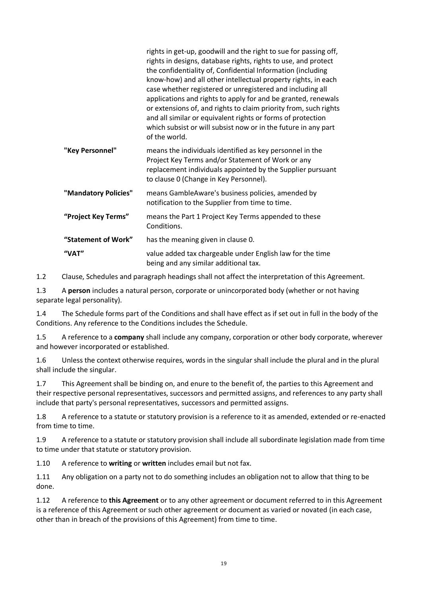|                      | rights in get-up, goodwill and the right to sue for passing off,<br>rights in designs, database rights, rights to use, and protect<br>the confidentiality of, Confidential Information (including<br>know-how) and all other intellectual property rights, in each<br>case whether registered or unregistered and including all<br>applications and rights to apply for and be granted, renewals<br>or extensions of, and rights to claim priority from, such rights<br>and all similar or equivalent rights or forms of protection<br>which subsist or will subsist now or in the future in any part<br>of the world. |
|----------------------|------------------------------------------------------------------------------------------------------------------------------------------------------------------------------------------------------------------------------------------------------------------------------------------------------------------------------------------------------------------------------------------------------------------------------------------------------------------------------------------------------------------------------------------------------------------------------------------------------------------------|
| "Key Personnel"      | means the individuals identified as key personnel in the<br>Project Key Terms and/or Statement of Work or any<br>replacement individuals appointed by the Supplier pursuant<br>to clause 0 (Change in Key Personnel).                                                                                                                                                                                                                                                                                                                                                                                                  |
| "Mandatory Policies" | means GambleAware's business policies, amended by<br>notification to the Supplier from time to time.                                                                                                                                                                                                                                                                                                                                                                                                                                                                                                                   |
| "Project Key Terms"  | means the Part 1 Project Key Terms appended to these<br>Conditions.                                                                                                                                                                                                                                                                                                                                                                                                                                                                                                                                                    |
| "Statement of Work"  | has the meaning given in clause 0.                                                                                                                                                                                                                                                                                                                                                                                                                                                                                                                                                                                     |
| "VAT"                | value added tax chargeable under English law for the time<br>being and any similar additional tax.                                                                                                                                                                                                                                                                                                                                                                                                                                                                                                                     |

1.2 Clause, Schedules and paragraph headings shall not affect the interpretation of this Agreement.

1.3 A **person** includes a natural person, corporate or unincorporated body (whether or not having separate legal personality).

1.4 The Schedule forms part of the Conditions and shall have effect as if set out in full in the body of the Conditions. Any reference to the Conditions includes the Schedule.

1.5 A reference to a **company** shall include any company, corporation or other body corporate, wherever and however incorporated or established.

1.6 Unless the context otherwise requires, words in the singular shall include the plural and in the plural shall include the singular.

1.7 This Agreement shall be binding on, and enure to the benefit of, the parties to this Agreement and their respective personal representatives, successors and permitted assigns, and references to any party shall include that party's personal representatives, successors and permitted assigns.

1.8 A reference to a statute or statutory provision is a reference to it as amended, extended or re-enacted from time to time.

1.9 A reference to a statute or statutory provision shall include all subordinate legislation made from time to time under that statute or statutory provision.

1.10 A reference to **writing** or **written** includes email but not fax.

1.11 Any obligation on a party not to do something includes an obligation not to allow that thing to be done.

1.12 A reference to **this Agreement** or to any other agreement or document referred to in this Agreement is a reference of this Agreement or such other agreement or document as varied or novated (in each case, other than in breach of the provisions of this Agreement) from time to time.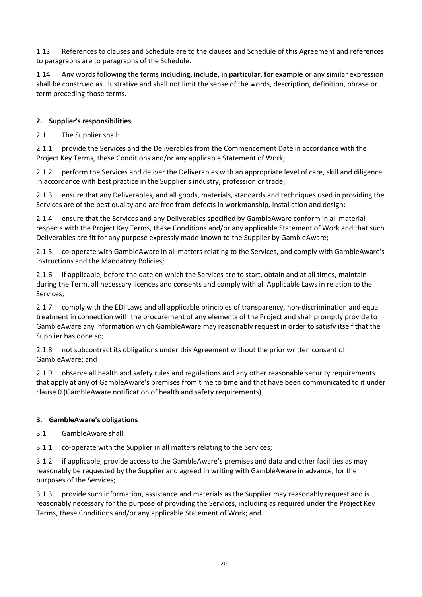1.13 References to clauses and Schedule are to the clauses and Schedule of this Agreement and references to paragraphs are to paragraphs of the Schedule.

1.14 Any words following the terms **including, include, in particular, for example** or any similar expression shall be construed as illustrative and shall not limit the sense of the words, description, definition, phrase or term preceding those terms.

#### **2. Supplier's responsibilities**

2.1 The Supplier shall:

<span id="page-19-0"></span>2.1.1 provide the Services and the Deliverables from the Commencement Date in accordance with the Project Key Terms, these Conditions and/or any applicable Statement of Work;

2.1.2 perform the Services and deliver the Deliverables with an appropriate level of care, skill and diligence in accordance with best practice in the Supplier's industry, profession or trade;

2.1.3 ensure that any Deliverables, and all goods, materials, standards and techniques used in providing the Services are of the best quality and are free from defects in workmanship, installation and design;

2.1.4 ensure that the Services and any Deliverables specified by GambleAware conform in all material respects with the Project Key Terms, these Conditions and/or any applicable Statement of Work and that such Deliverables are fit for any purpose expressly made known to the Supplier by GambleAware;

2.1.5 co-operate with GambleAware in all matters relating to the Services, and comply with GambleAware's instructions and the Mandatory Policies;

2.1.6 if applicable, before the date on which the Services are to start, obtain and at all times, maintain during the Term, all necessary licences and consents and comply with all Applicable Laws in relation to the Services;

2.1.7 comply with the EDI Laws and all applicable principles of transparency, non-discrimination and equal treatment in connection with the procurement of any elements of the Project and shall promptly provide to GambleAware any information which GambleAware may reasonably request in order to satisfy itself that the Supplier has done so;

2.1.8 not subcontract its obligations under this Agreement without the prior written consent of GambleAware; and

2.1.9 observe all health and safety rules and regulations and any other reasonable security requirements that apply at any of GambleAware's premises from time to time and that have been communicated to it under claus[e 0](#page-20-2) (GambleAware notification of health and safety requirements).

#### **3. GambleAware's obligations**

3.1 GambleAware shall:

3.1.1 co-operate with the Supplier in all matters relating to the Services;

3.1.2 if applicable, provide access to the GambleAware's premises and data and other facilities as may reasonably be requested by the Supplier and agreed in writing with GambleAware in advance, for the purposes of the Services;

3.1.3 provide such information, assistance and materials as the Supplier may reasonably request and is reasonably necessary for the purpose of providing the Services, including as required under the Project Key Terms, these Conditions and/or any applicable Statement of Work; and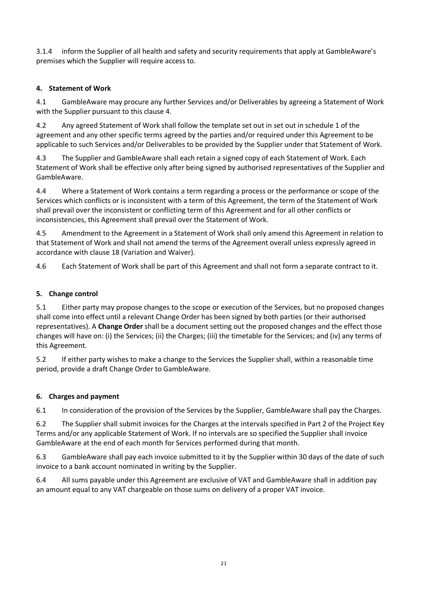<span id="page-20-2"></span>3.1.4 inform the Supplier of all health and safety and security requirements that apply at GambleAware's premises which the Supplier will require access to.

#### <span id="page-20-3"></span>**4. Statement of Work**

<span id="page-20-1"></span>4.1 GambleAware may procure any further Services and/or Deliverables by agreeing a Statement of Work with the Supplier pursuant to this clause [4.](#page-20-3)

4.2 Any agreed Statement of Work shall follow the template set out in set out in schedule 1 of the agreement and any other specific terms agreed by the parties and/or required under this Agreement to be applicable to such Services and/or Deliverables to be provided by the Supplier under that Statement of Work.

4.3 The Supplier and GambleAware shall each retain a signed copy of each Statement of Work. Each Statement of Work shall be effective only after being signed by authorised representatives of the Supplier and GambleAware.

4.4 Where a Statement of Work contains a term regarding a process or the performance or scope of the Services which conflicts or is inconsistent with a term of this Agreement, the term of the Statement of Work shall prevail over the inconsistent or conflicting term of this Agreement and for all other conflicts or inconsistencies, this Agreement shall prevail over the Statement of Work.

4.5 Amendment to the Agreement in a Statement of Work shall only amend this Agreement in relation to that Statement of Work and shall not amend the terms of the Agreement overall unless expressly agreed in accordance with clause [18](#page-26-0) (Variation and Waiver).

4.6 Each Statement of Work shall be part of this Agreement and shall not form a separate contract to it.

#### <span id="page-20-4"></span>**5. Change control**

<span id="page-20-0"></span>5.1 Either party may propose changes to the scope or execution of the Services, but no proposed changes shall come into effect until a relevant Change Order has been signed by both parties (or their authorised representatives). A **Change Order** shall be a document setting out the proposed changes and the effect those changes will have on: (i) the Services; (ii) the Charges; (iii) the timetable for the Services; and (iv) any terms of this Agreement.

5.2 If either party wishes to make a change to the Services the Supplier shall, within a reasonable time period, provide a draft Change Order to GambleAware.

#### **6. Charges and payment**

6.1 In consideration of the provision of the Services by the Supplier, GambleAware shall pay the Charges.

6.2 The Supplier shall submit invoices for the Charges at the intervals specified in Part 2 of the Project Key Terms and/or any applicable Statement of Work. If no intervals are so specified the Supplier shall invoice GambleAware at the end of each month for Services performed during that month.

6.3 GambleAware shall pay each invoice submitted to it by the Supplier within 30 days of the date of such invoice to a bank account nominated in writing by the Supplier.

6.4 All sums payable under this Agreement are exclusive of VAT and GambleAware shall in addition pay an amount equal to any VAT chargeable on those sums on delivery of a proper VAT invoice.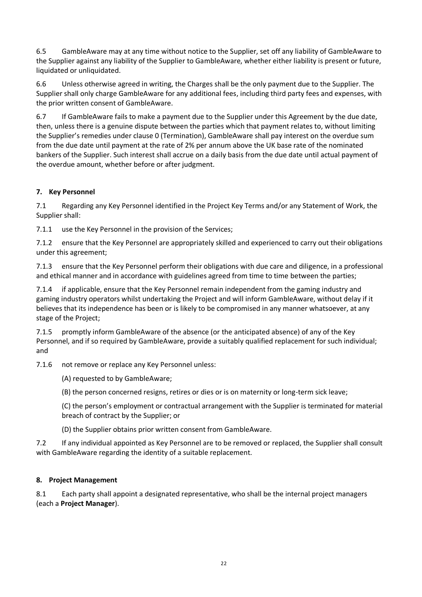6.5 GambleAware may at any time without notice to the Supplier, set off any liability of GambleAware to the Supplier against any liability of the Supplier to GambleAware, whether either liability is present or future, liquidated or unliquidated.

6.6 Unless otherwise agreed in writing, the Charges shall be the only payment due to the Supplier. The Supplier shall only charge GambleAware for any additional fees, including third party fees and expenses, with the prior written consent of GambleAware.

6.7 If GambleAware fails to make a payment due to the Supplier under this Agreement by the due date, then, unless there is a genuine dispute between the parties which that payment relates to, without limiting the Supplier's remedies under clause [0](#page-25-0) (Termination), GambleAware shall pay interest on the overdue sum from the due date until payment at the rate of 2% per annum above the UK base rate of the nominated bankers of the Supplier. Such interest shall accrue on a daily basis from the due date until actual payment of the overdue amount, whether before or after judgment.

#### **7. Key Personnel**

7.1 Regarding any Key Personnel identified in the Project Key Terms and/or any Statement of Work, the Supplier shall:

7.1.1 use the Key Personnel in the provision of the Services;

7.1.2 ensure that the Key Personnel are appropriately skilled and experienced to carry out their obligations under this agreement;

7.1.3 ensure that the Key Personnel perform their obligations with due care and diligence, in a professional and ethical manner and in accordance with guidelines agreed from time to time between the parties;

7.1.4 if applicable, ensure that the Key Personnel remain independent from the gaming industry and gaming industry operators whilst undertaking the Project and will inform GambleAware, without delay if it believes that its independence has been or is likely to be compromised in any manner whatsoever, at any stage of the Project;

7.1.5 promptly inform GambleAware of the absence (or the anticipated absence) of any of the Key Personnel, and if so required by GambleAware, provide a suitably qualified replacement for such individual; and

<span id="page-21-0"></span>7.1.6 not remove or replace any Key Personnel unless:

(A) requested to by GambleAware;

(B) the person concerned resigns, retires or dies or is on maternity or long-term sick leave;

(C) the person's employment or contractual arrangement with the Supplier is terminated for material breach of contract by the Supplier; or

(D) the Supplier obtains prior written consent from GambleAware.

7.2 If any individual appointed as Key Personnel are to be removed or replaced, the Supplier shall consult with GambleAware regarding the identity of a suitable replacement.

#### **8. Project Management**

8.1 Each party shall appoint a designated representative, who shall be the internal project managers (each a **Project Manager**).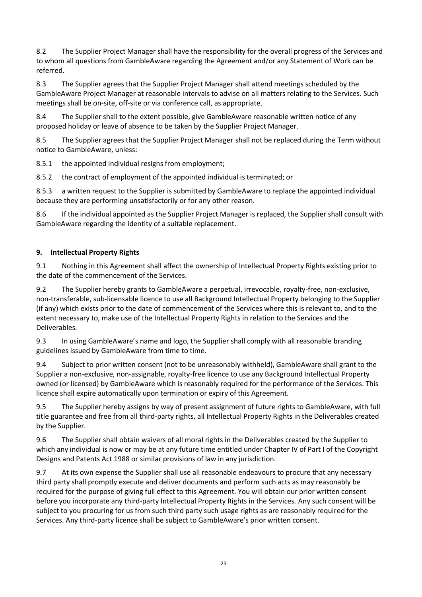8.2 The Supplier Project Manager shall have the responsibility for the overall progress of the Services and to whom all questions from GambleAware regarding the Agreement and/or any Statement of Work can be referred.

8.3 The Supplier agrees that the Supplier Project Manager shall attend meetings scheduled by the GambleAware Project Manager at reasonable intervals to advise on all matters relating to the Services. Such meetings shall be on-site, off-site or via conference call, as appropriate.

8.4 The Supplier shall to the extent possible, give GambleAware reasonable written notice of any proposed holiday or leave of absence to be taken by the Supplier Project Manager.

8.5 The Supplier agrees that the Supplier Project Manager shall not be replaced during the Term without notice to GambleAware, unless:

8.5.1 the appointed individual resigns from employment;

8.5.2 the contract of employment of the appointed individual is terminated; or

8.5.3 a written request to the Supplier is submitted by GambleAware to replace the appointed individual because they are performing unsatisfactorily or for any other reason.

8.6 If the individual appointed as the Supplier Project Manager is replaced, the Supplier shall consult with GambleAware regarding the identity of a suitable replacement.

#### <span id="page-22-0"></span>**9. Intellectual Property Rights**

9.1 Nothing in this Agreement shall affect the ownership of Intellectual Property Rights existing prior to the date of the commencement of the Services.

9.2 The Supplier hereby grants to GambleAware a perpetual, irrevocable, royalty-free, non-exclusive, non-transferable, sub-licensable licence to use all Background Intellectual Property belonging to the Supplier (if any) which exists prior to the date of commencement of the Services where this is relevant to, and to the extent necessary to, make use of the Intellectual Property Rights in relation to the Services and the Deliverables.

9.3 In using GambleAware's name and logo, the Supplier shall comply with all reasonable branding guidelines issued by GambleAware from time to time.

9.4 Subject to prior written consent (not to be unreasonably withheld), GambleAware shall grant to the Supplier a non-exclusive, non-assignable, royalty-free licence to use any Background Intellectual Property owned (or licensed) by GambleAware which is reasonably required for the performance of the Services. This licence shall expire automatically upon termination or expiry of this Agreement.

9.5 The Supplier hereby assigns by way of present assignment of future rights to GambleAware, with full title guarantee and free from all third-party rights, all Intellectual Property Rights in the Deliverables created by the Supplier.

9.6 The Supplier shall obtain waivers of all moral rights in the Deliverables created by the Supplier to which any individual is now or may be at any future time entitled under Chapter IV of Part I of the Copyright Designs and Patents Act 1988 or similar provisions of law in any jurisdiction.

9.7 At its own expense the Supplier shall use all reasonable endeavours to procure that any necessary third party shall promptly execute and deliver documents and perform such acts as may reasonably be required for the purpose of giving full effect to this Agreement. You will obtain our prior written consent before you incorporate any third-party Intellectual Property Rights in the Services. Any such consent will be subject to you procuring for us from such third party such usage rights as are reasonably required for the Services. Any third-party licence shall be subject to GambleAware's prior written consent.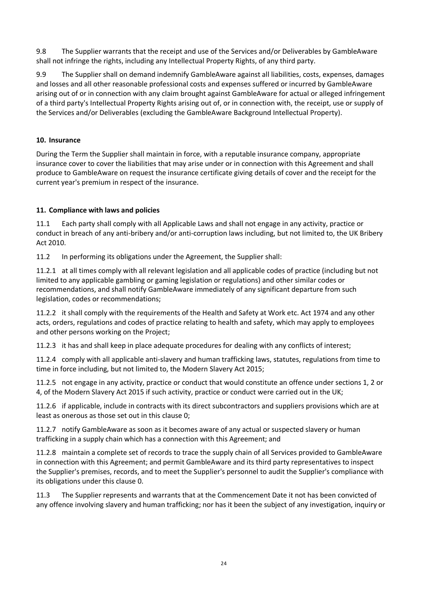9.8 The Supplier warrants that the receipt and use of the Services and/or Deliverables by GambleAware shall not infringe the rights, including any Intellectual Property Rights, of any third party.

<span id="page-23-2"></span>9.9 The Supplier shall on demand indemnify GambleAware against all liabilities, costs, expenses, damages and losses and all other reasonable professional costs and expenses suffered or incurred by GambleAware arising out of or in connection with any claim brought against GambleAware for actual or alleged infringement of a third party's Intellectual Property Rights arising out of, or in connection with, the receipt, use or supply of the Services and/or Deliverables (excluding the GambleAware Background Intellectual Property).

#### **10. Insurance**

During the Term the Supplier shall maintain in force, with a reputable insurance company, appropriate insurance cover to cover the liabilities that may arise under or in connection with this Agreement and shall produce to GambleAware on request the insurance certificate giving details of cover and the receipt for the current year's premium in respect of the insurance.

#### **11. Compliance with laws and policies**

11.1 Each party shall comply with all Applicable Laws and shall not engage in any activity, practice or conduct in breach of any anti-bribery and/or anti-corruption laws including, but not limited to, the UK Bribery Act 2010.

<span id="page-23-0"></span>11.2 In performing its obligations under the Agreement, the Supplier shall:

11.2.1 at all times comply with all relevant legislation and all applicable codes of practice (including but not limited to any applicable gambling or gaming legislation or regulations) and other similar codes or recommendations, and shall notify GambleAware immediately of any significant departure from such legislation, codes or recommendations;

11.2.2 it shall comply with the requirements of the Health and Safety at Work etc. Act 1974 and any other acts, orders, regulations and codes of practice relating to health and safety, which may apply to employees and other persons working on the Project;

11.2.3 it has and shall keep in place adequate procedures for dealing with any conflicts of interest;

11.2.4 comply with all applicable anti-slavery and human trafficking laws, statutes, regulations from time to time in force including, but not limited to, the Modern Slavery Act 2015;

11.2.5 not engage in any activity, practice or conduct that would constitute an offence under sections 1, 2 or 4, of the Modern Slavery Act 2015 if such activity, practice or conduct were carried out in the UK;

11.2.6 if applicable, include in contracts with its direct subcontractors and suppliers provisions which are at least as onerous as those set out in this clause [0;](#page-23-0)

11.2.7 notify GambleAware as soon as it becomes aware of any actual or suspected slavery or human trafficking in a supply chain which has a connection with this Agreement; and

11.2.8 maintain a complete set of records to trace the supply chain of all Services provided to GambleAware in connection with this Agreement; and permit GambleAware and its third party representatives to inspect the Supplier's premises, records, and to meet the Supplier's personnel to audit the Supplier's compliance with its obligations under this clause [0.](#page-23-0)

<span id="page-23-1"></span>11.3 The Supplier represents and warrants that at the Commencement Date it not has been convicted of any offence involving slavery and human trafficking; nor has it been the subject of any investigation, inquiry or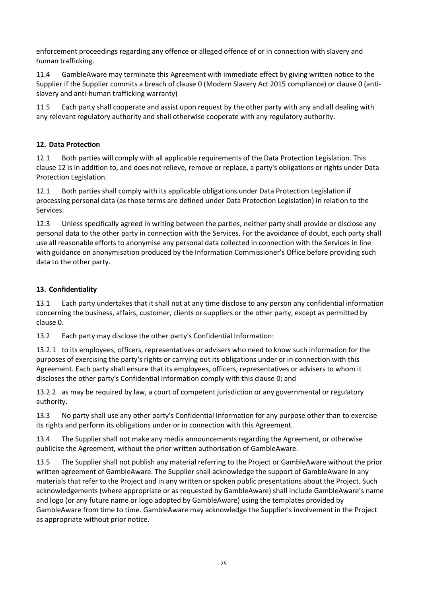enforcement proceedings regarding any offence or alleged offence of or in connection with slavery and human trafficking.

11.4 GambleAware may terminate this Agreement with immediate effect by giving written notice to the Supplier if the Supplier commits a breach of clause [0](#page-23-0) (Modern Slavery Act 2015 compliance) or claus[e 0](#page-23-1) (antislavery and anti-human trafficking warranty)

11.5 Each party shall cooperate and assist upon request by the other party with any and all dealing with any relevant regulatory authority and shall otherwise cooperate with any regulatory authority.

#### <span id="page-24-3"></span>**12. Data Protection**

12.1 Both parties will comply with all applicable requirements of the Data Protection Legislation. This clause 12 is in addition to, and does not relieve, remove or replace, a party's obligations or rights under Data Protection Legislation.

12.1 Both parties shall comply with its applicable obligations under Data Protection Legislation if processing personal data (as those terms are defined under Data Protection Legislation) in relation to the Services.

12.3 Unless specifically agreed in writing between the parties, neither party shall provide or disclose any personal data to the other party in connection with the Services. For the avoidance of doubt, each party shall use all reasonable efforts to anonymise any personal data collected in connection with the Services in line with guidance on anonymisation produced by the Information Commissioner's Office before providing such data to the other party.

#### <span id="page-24-2"></span>**13. Confidentiality**

<span id="page-24-0"></span>13.1 Each party undertakes that it shall not at any time disclose to any person any confidential information concerning the business, affairs, customer, clients or suppliers or the other party, except as permitted by claus[e 0.](#page-24-1)

<span id="page-24-1"></span>13.2 Each party may disclose the other party's Confidential Information:

13.2.1 to its employees, officers, representatives or advisers who need to know such information for the purposes of exercising the party's rights or carrying out its obligations under or in connection with this Agreement. Each party shall ensure that its employees, officers, representatives or advisers to whom it discloses the other party's Confidential Information comply with this clause [0;](#page-24-2) and

13.2.2 as may be required by law, a court of competent jurisdiction or any governmental or regulatory authority.

13.3 No party shall use any other party's Confidential Information for any purpose other than to exercise its rights and perform its obligations under or in connection with this Agreement.

13.4 The Supplier shall not make any media announcements regarding the Agreement, or otherwise publicise the Agreement, without the prior written authorisation of GambleAware.

13.5 The Supplier shall not publish any material referring to the Project or GambleAware without the prior written agreement of GambleAware. The Supplier shall acknowledge the support of GambleAware in any materials that refer to the Project and in any written or spoken public presentations about the Project. Such acknowledgements (where appropriate or as requested by GambleAware) shall include GambleAware's name and logo (or any future name or logo adopted by GambleAware) using the templates provided by GambleAware from time to time. GambleAware may acknowledge the Supplier's involvement in the Project as appropriate without prior notice.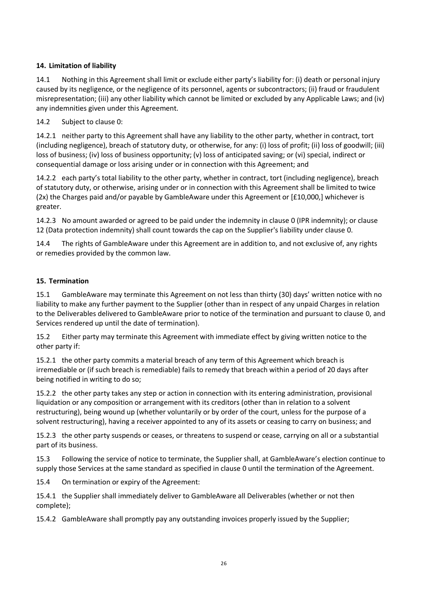#### <span id="page-25-4"></span>**14. Limitation of liability**

<span id="page-25-1"></span>14.1 Nothing in this Agreement shall limit or exclude either party's liability for: (i) death or personal injury caused by its negligence, or the negligence of its personnel, agents or subcontractors; (ii) fraud or fraudulent misrepresentation; (iii) any other liability which cannot be limited or excluded by any Applicable Laws; and (iv) any indemnities given under this Agreement.

#### 14.2 Subject to clause [0:](#page-25-1)

14.2.1 neither party to this Agreement shall have any liability to the other party, whether in contract, tort (including negligence), breach of statutory duty, or otherwise, for any: (i) loss of profit; (ii) loss of goodwill; (iii) loss of business; (iv) loss of business opportunity; (v) loss of anticipated saving; or (vi) special, indirect or consequential damage or loss arising under or in connection with this Agreement; and

<span id="page-25-2"></span>14.2.2 each party's total liability to the other party, whether in contract, tort (including negligence), breach of statutory duty, or otherwise, arising under or in connection with this Agreement shall be limited to twice (2x) the Charges paid and/or payable by GambleAware under this Agreement or [£10,000,] whichever is greater.

14.2.3 No amount awarded or agreed to be paid under the indemnity in claus[e 0](#page-23-2) (IPR indemnity); or clause 12 (Data protection indemnity) shall count towards the cap on the Supplier's liability under clause [0.](#page-25-2)

14.4 The rights of GambleAware under this Agreement are in addition to, and not exclusive of, any rights or remedies provided by the common law.

#### <span id="page-25-0"></span>**15. Termination**

15.1 GambleAware may terminate this Agreement on not less than thirty (30) days' written notice with no liability to make any further payment to the Supplier (other than in respect of any unpaid Charges in relation to the Deliverables delivered to GambleAware prior to notice of the termination and pursuant to clause [0,](#page-25-3) and Services rendered up until the date of termination).

15.2 Either party may terminate this Agreement with immediate effect by giving written notice to the other party if:

15.2.1 the other party commits a material breach of any term of this Agreement which breach is irremediable or (if such breach is remediable) fails to remedy that breach within a period of 20 days after being notified in writing to do so;

15.2.2 the other party takes any step or action in connection with its entering administration, provisional liquidation or any composition or arrangement with its creditors (other than in relation to a solvent restructuring), being wound up (whether voluntarily or by order of the court, unless for the purpose of a solvent restructuring), having a receiver appointed to any of its assets or ceasing to carry on business; and

15.2.3 the other party suspends or ceases, or threatens to suspend or cease, carrying on all or a substantial part of its business.

15.3 Following the service of notice to terminate, the Supplier shall, at GambleAware's election continue to supply those Services at the same standard as specified in clause [0](#page-19-0) until the termination of the Agreement.

15.4 On termination or expiry of the Agreement:

<span id="page-25-3"></span>15.4.1 the Supplier shall immediately deliver to GambleAware all Deliverables (whether or not then complete);

15.4.2 GambleAware shall promptly pay any outstanding invoices properly issued by the Supplier;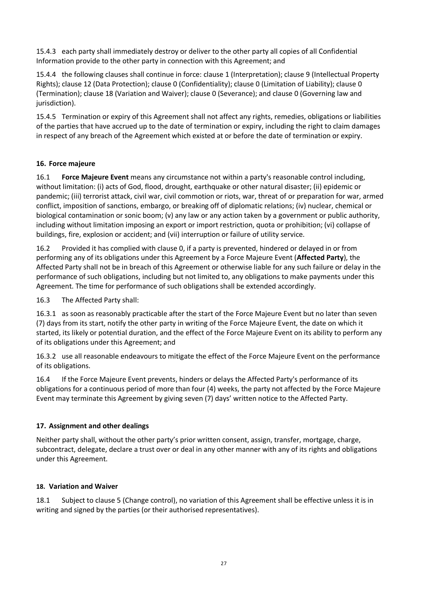15.4.3 each party shall immediately destroy or deliver to the other party all copies of all Confidential Information provide to the other party in connection with this Agreement; and

15.4.4 the following clauses shall continue in force: clause [1](#page-17-1) (Interpretation); clause [9](#page-22-0) (Intellectual Property Rights); claus[e 12](#page-24-3) (Data Protection); clause [0](#page-24-2) (Confidentiality); claus[e 0](#page-25-4) (Limitation of Liability); clause [0](#page-25-0) (Termination); claus[e 18](#page-26-0) (Variation and Waiver); clause [0](#page-27-0) (Severance); and clause [0](#page-28-0) (Governing law and jurisdiction).

15.4.5 Termination or expiry of this Agreement shall not affect any rights, remedies, obligations or liabilities of the parties that have accrued up to the date of termination or expiry, including the right to claim damages in respect of any breach of the Agreement which existed at or before the date of termination or expiry.

#### **16. Force majeure**

16.1 **Force Majeure Event** means any circumstance not within a party's reasonable control including, without limitation: (i) acts of God, flood, drought, earthquake or other natural disaster; (ii) epidemic or pandemic; (iii) terrorist attack, civil war, civil commotion or riots, war, threat of or preparation for war, armed conflict, imposition of sanctions, embargo, or breaking off of diplomatic relations; (iv) nuclear, chemical or biological contamination or sonic boom; (v) any law or any action taken by a government or public authority, including without limitation imposing an export or import restriction, quota or prohibition; (vi) collapse of buildings, fire, explosion or accident; and (vii) interruption or failure of utility service.

16.2 Provided it has complied with claus[e 0,](#page-26-1) if a party is prevented, hindered or delayed in or from performing any of its obligations under this Agreement by a Force Majeure Event (**Affected Party**), the Affected Party shall not be in breach of this Agreement or otherwise liable for any such failure or delay in the performance of such obligations, including but not limited to, any obligations to make payments under this Agreement. The time for performance of such obligations shall be extended accordingly.

<span id="page-26-1"></span>16.3 The Affected Party shall:

16.3.1 as soon as reasonably practicable after the start of the Force Majeure Event but no later than seven (7) days from its start, notify the other party in writing of the Force Majeure Event, the date on which it started, its likely or potential duration, and the effect of the Force Majeure Event on its ability to perform any of its obligations under this Agreement; and

16.3.2 use all reasonable endeavours to mitigate the effect of the Force Majeure Event on the performance of its obligations.

16.4 If the Force Majeure Event prevents, hinders or delays the Affected Party's performance of its obligations for a continuous period of more than four (4) weeks, the party not affected by the Force Majeure Event may terminate this Agreement by giving seven (7) days' written notice to the Affected Party.

#### **17. Assignment and other dealings**

Neither party shall, without the other party's prior written consent, assign, transfer, mortgage, charge, subcontract, delegate, declare a trust over or deal in any other manner with any of its rights and obligations under this Agreement.

#### <span id="page-26-0"></span>**18. Variation and Waiver**

18.1 Subject to clause [5](#page-20-4) (Change control), no variation of this Agreement shall be effective unless it is in writing and signed by the parties (or their authorised representatives).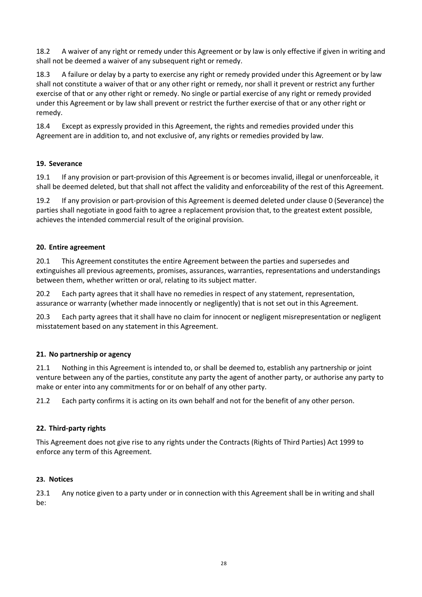18.2 A waiver of any right or remedy under this Agreement or by law is only effective if given in writing and shall not be deemed a waiver of any subsequent right or remedy.

18.3 A failure or delay by a party to exercise any right or remedy provided under this Agreement or by law shall not constitute a waiver of that or any other right or remedy, nor shall it prevent or restrict any further exercise of that or any other right or remedy. No single or partial exercise of any right or remedy provided under this Agreement or by law shall prevent or restrict the further exercise of that or any other right or remedy.

18.4 Except as expressly provided in this Agreement, the rights and remedies provided under this Agreement are in addition to, and not exclusive of, any rights or remedies provided by law.

#### <span id="page-27-0"></span>**19. Severance**

<span id="page-27-1"></span>19.1 If any provision or part-provision of this Agreement is or becomes invalid, illegal or unenforceable, it shall be deemed deleted, but that shall not affect the validity and enforceability of the rest of this Agreement.

19.2 If any provision or part-provision of this Agreement is deemed deleted under claus[e 0](#page-27-1) (Severance) the parties shall negotiate in good faith to agree a replacement provision that, to the greatest extent possible, achieves the intended commercial result of the original provision.

#### **20. Entire agreement**

20.1 This Agreement constitutes the entire Agreement between the parties and supersedes and extinguishes all previous agreements, promises, assurances, warranties, representations and understandings between them, whether written or oral, relating to its subject matter.

20.2 Each party agrees that it shall have no remedies in respect of any statement, representation, assurance or warranty (whether made innocently or negligently) that is not set out in this Agreement.

20.3 Each party agrees that it shall have no claim for innocent or negligent misrepresentation or negligent misstatement based on any statement in this Agreement.

#### **21. No partnership or agency**

21.1 Nothing in this Agreement is intended to, or shall be deemed to, establish any partnership or joint venture between any of the parties, constitute any party the agent of another party, or authorise any party to make or enter into any commitments for or on behalf of any other party.

21.2 Each party confirms it is acting on its own behalf and not for the benefit of any other person.

#### **22. Third-party rights**

This Agreement does not give rise to any rights under the Contracts (Rights of Third Parties) Act 1999 to enforce any term of this Agreement.

#### <span id="page-27-2"></span>**23. Notices**

23.1 Any notice given to a party under or in connection with this Agreement shall be in writing and shall be: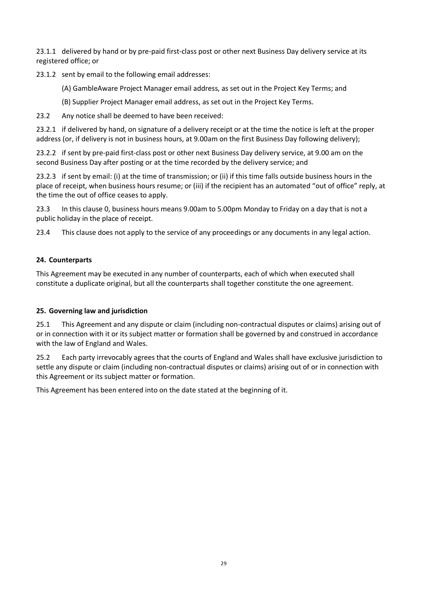23.1.1 delivered by hand or by pre-paid first-class post or other next Business Day delivery service at its registered office; or

23.1.2 sent by email to the following email addresses:

(A) GambleAware Project Manager email address, as set out in the Project Key Terms; and

(B) Supplier Project Manager email address, as set out in the Project Key Terms.

23.2 Any notice shall be deemed to have been received:

23.2.1 if delivered by hand, on signature of a delivery receipt or at the time the notice is left at the proper address (or, if delivery is not in business hours, at 9.00am on the first Business Day following delivery);

23.2.2 if sent by pre-paid first-class post or other next Business Day delivery service, at 9.00 am on the second Business Day after posting or at the time recorded by the delivery service; and

23.2.3 if sent by email: (i) at the time of transmission; or (ii) if this time falls outside business hours in the place of receipt, when business hours resume; or (iii) if the recipient has an automated "out of office" reply, at the time the out of office ceases to apply.

23.3 In this clause [0,](#page-27-2) business hours means 9.00am to 5.00pm Monday to Friday on a day that is not a public holiday in the place of receipt.

23.4 This clause does not apply to the service of any proceedings or any documents in any legal action.

#### **24. Counterparts**

This Agreement may be executed in any number of counterparts, each of which when executed shall constitute a duplicate original, but all the counterparts shall together constitute the one agreement.

#### <span id="page-28-0"></span>**25. Governing law and jurisdiction**

25.1 This Agreement and any dispute or claim (including non-contractual disputes or claims) arising out of or in connection with it or its subject matter or formation shall be governed by and construed in accordance with the law of England and Wales.

25.2 Each party irrevocably agrees that the courts of England and Wales shall have exclusive jurisdiction to settle any dispute or claim (including non-contractual disputes or claims) arising out of or in connection with this Agreement or its subject matter or formation.

This Agreement has been entered into on the date stated at the beginning of it.